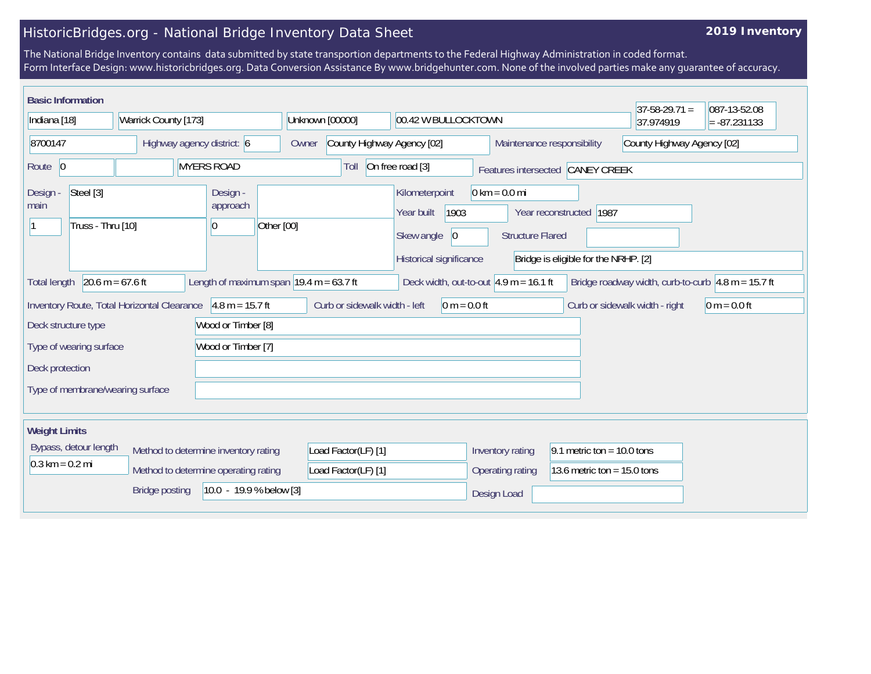## HistoricBridges.org - National Bridge Inventory Data Sheet

## **2019 Inventory**

The National Bridge Inventory contains data submitted by state transportion departments to the Federal Highway Administration in coded format. Form Interface Design: www.historicbridges.org. Data Conversion Assistance By www.bridgehunter.com. None of the involved parties make any guarantee of accuracy.

| <b>Basic Information</b>                           |                                             |                                                             |                                        |                               |                                                                                              |                                                            |                                                                    | $37 - 58 - 29.71 =$            | 087-13-52.08                                               |
|----------------------------------------------------|---------------------------------------------|-------------------------------------------------------------|----------------------------------------|-------------------------------|----------------------------------------------------------------------------------------------|------------------------------------------------------------|--------------------------------------------------------------------|--------------------------------|------------------------------------------------------------|
| Indiana [18]<br>Warrick County [173]               |                                             |                                                             | Unknown [00000]<br>00.42 W BULLOCKTOWN |                               |                                                                                              |                                                            | 37.974919                                                          | $= -87.231133$                 |                                                            |
| 8700147<br>Highway agency district: 6              |                                             |                                                             | Owner                                  | County Highway Agency [02]    |                                                                                              |                                                            | Maintenance responsibility<br>County Highway Agency [02]           |                                |                                                            |
| Route 0                                            | <b>MYERS ROAD</b>                           |                                                             |                                        | Toll                          | On free road [3]                                                                             | Features intersected CANEY CREEK                           |                                                                    |                                |                                                            |
| Steel [3]<br>Design -<br>main<br>Truss - Thru [10] |                                             | Design -<br>approach<br>Other [00]<br>$\vert 0 \vert$       |                                        |                               | Kilometerpoint<br>1903<br>Year built<br>Skew angle<br>$ 0\rangle$<br>Historical significance | $0 \text{ km} = 0.0 \text{ mi}$<br><b>Structure Flared</b> | Year reconstructed<br>1987<br>Bridge is eligible for the NRHP. [2] |                                |                                                            |
| $20.6 m = 67.6 ft$<br><b>Total length</b>          |                                             | Length of maximum span $ 19.4 \text{ m} = 63.7 \text{ ft} $ |                                        |                               | Deck width, out-to-out $4.9$ m = 16.1 ft                                                     |                                                            |                                                                    |                                | Bridge roadway width, curb-to-curb $\vert$ 4.8 m = 15.7 ft |
|                                                    | Inventory Route, Total Horizontal Clearance | $4.8 m = 15.7 ft$                                           |                                        | Curb or sidewalk width - left | $0 m = 0.0 ft$                                                                               |                                                            |                                                                    | Curb or sidewalk width - right | $0 m = 0.0 ft$                                             |
| Deck structure type                                |                                             | Wood or Timber [8]                                          |                                        |                               |                                                                                              |                                                            |                                                                    |                                |                                                            |
| Wood or Timber [7]<br>Type of wearing surface      |                                             |                                                             |                                        |                               |                                                                                              |                                                            |                                                                    |                                |                                                            |
| Deck protection                                    |                                             |                                                             |                                        |                               |                                                                                              |                                                            |                                                                    |                                |                                                            |
| Type of membrane/wearing surface                   |                                             |                                                             |                                        |                               |                                                                                              |                                                            |                                                                    |                                |                                                            |
| <b>Weight Limits</b>                               |                                             |                                                             |                                        |                               |                                                                                              |                                                            |                                                                    |                                |                                                            |
| Bypass, detour length                              | Method to determine inventory rating        |                                                             |                                        | Load Factor(LF) [1]           |                                                                                              | Inventory rating                                           | 9.1 metric ton = $10.0$ tons                                       |                                |                                                            |
| $0.3 \text{ km} = 0.2 \text{ mi}$                  | Method to determine operating rating        |                                                             |                                        | Load Factor(LF) [1]           |                                                                                              | Operating rating                                           | 13.6 metric ton = $15.0$ tons                                      |                                |                                                            |
| $10.0 - 19.9 %$ below [3]<br><b>Bridge posting</b> |                                             |                                                             |                                        |                               |                                                                                              | Design Load                                                |                                                                    |                                |                                                            |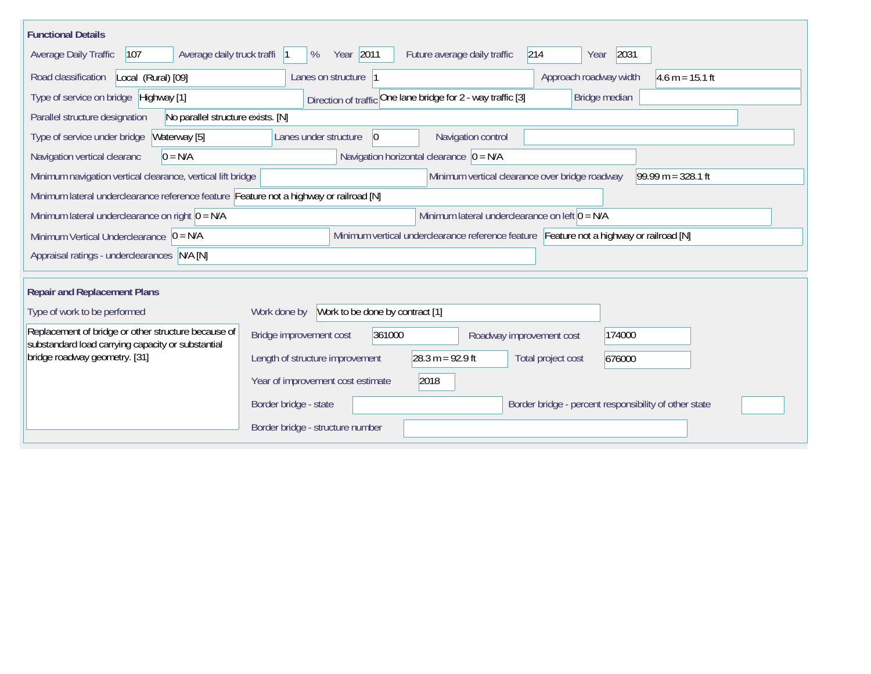| <b>Functional Details</b>                                                                                |                                                                         |                                                                                         |                    |                                                       |                      |
|----------------------------------------------------------------------------------------------------------|-------------------------------------------------------------------------|-----------------------------------------------------------------------------------------|--------------------|-------------------------------------------------------|----------------------|
| Average daily truck traffi<br>107<br>Average Daily Traffic                                               | Year 2011<br>%                                                          | Future average daily traffic                                                            | 214                | 2031<br>Year                                          |                      |
| Road classification<br>Local (Rural) [09]                                                                | Lanes on structure 1                                                    |                                                                                         |                    | Approach roadway width                                | $4.6 m = 15.1 ft$    |
| Type of service on bridge Highway [1]                                                                    |                                                                         | Direction of traffic One lane bridge for 2 - way traffic [3]                            |                    | Bridge median                                         |                      |
| No parallel structure exists. [N]<br>Parallel structure designation                                      |                                                                         |                                                                                         |                    |                                                       |                      |
| Type of service under bridge<br>Waterway [5]                                                             | Lanes under structure<br>$\vert 0 \vert$                                | Navigation control                                                                      |                    |                                                       |                      |
| Navigation vertical clearanc<br>$0 = N/A$                                                                |                                                                         | Navigation horizontal clearance $ 0 = N/A $                                             |                    |                                                       |                      |
| Minimum navigation vertical clearance, vertical lift bridge                                              |                                                                         | Minimum vertical clearance over bridge roadway                                          |                    |                                                       | $99.99 m = 328.1 ft$ |
| Minimum lateral underclearance reference feature Feature not a highway or railroad [N]                   |                                                                         |                                                                                         |                    |                                                       |                      |
| Minimum lateral underclearance on right $0 = N/A$                                                        |                                                                         | Minimum lateral underclearance on left $0 = N/A$                                        |                    |                                                       |                      |
| Minimum Vertical Underclearance $ 0 = N/A$                                                               |                                                                         | Minimum vertical underclearance reference feature Feature not a highway or railroad [N] |                    |                                                       |                      |
| Appraisal ratings - underclearances N/A [N]                                                              |                                                                         |                                                                                         |                    |                                                       |                      |
|                                                                                                          |                                                                         |                                                                                         |                    |                                                       |                      |
| <b>Repair and Replacement Plans</b>                                                                      |                                                                         |                                                                                         |                    |                                                       |                      |
| Type of work to be performed                                                                             | Work to be done by contract [1]<br>Work done by                         |                                                                                         |                    |                                                       |                      |
| Replacement of bridge or other structure because of<br>substandard load carrying capacity or substantial | Bridge improvement cost<br>361000<br>174000<br>Roadway improvement cost |                                                                                         |                    |                                                       |                      |
| bridge roadway geometry. [31]                                                                            | Length of structure improvement                                         | $28.3 m = 92.9 ft$                                                                      | Total project cost | 676000                                                |                      |
|                                                                                                          | Year of improvement cost estimate                                       | 2018                                                                                    |                    |                                                       |                      |
|                                                                                                          | Border bridge - state                                                   |                                                                                         |                    | Border bridge - percent responsibility of other state |                      |
|                                                                                                          | Border bridge - structure number                                        |                                                                                         |                    |                                                       |                      |